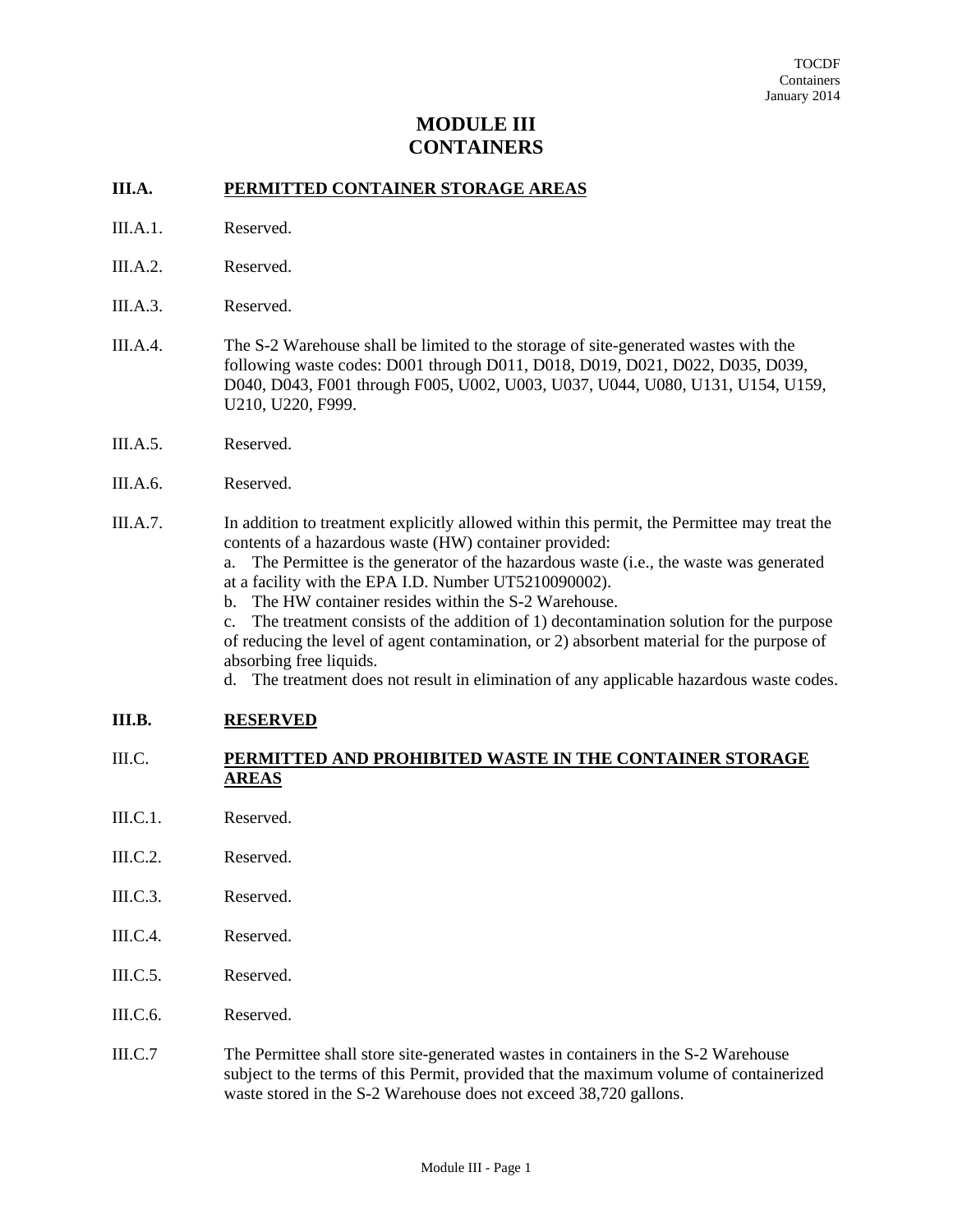# **MODULE III CONTAINERS**

## **III.A. PERMITTED CONTAINER STORAGE AREAS**

- III.A.1. Reserved.
- III.A.2. Reserved.
- III.A.3. Reserved.
- III.A.4. The S-2 Warehouse shall be limited to the storage of site-generated wastes with the following waste codes: D001 through D011, D018, D019, D021, D022, D035, D039, D040, D043, F001 through F005, U002, U003, U037, U044, U080, U131, U154, U159, U210, U220, F999.
- III.A.5. Reserved.
- III.A.6. Reserved.
- III.A.7. In addition to treatment explicitly allowed within this permit, the Permittee may treat the contents of a hazardous waste (HW) container provided:

 a. The Permittee is the generator of the hazardous waste (i.e., the waste was generated at a facility with the EPA I.D. Number UT5210090002).

b. The HW container resides within the S-2 Warehouse.

 c. The treatment consists of the addition of 1) decontamination solution for the purpose of reducing the level of agent contamination, or 2) absorbent material for the purpose of absorbing free liquids.

d. The treatment does not result in elimination of any applicable hazardous waste codes.

#### **III.B. RESERVED**

### III.C. **PERMITTED AND PROHIBITED WASTE IN THE CONTAINER STORAGE AREAS**

- III.C.1. Reserved.
- III.C.2. Reserved.
- III.C.3. Reserved.
- III.C.4. Reserved.
- III.C.5. Reserved.
- III.C.6. Reserved.
- III.C.7 The Permittee shall store site-generated wastes in containers in the S-2 Warehouse subject to the terms of this Permit, provided that the maximum volume of containerized waste stored in the S-2 Warehouse does not exceed 38,720 gallons.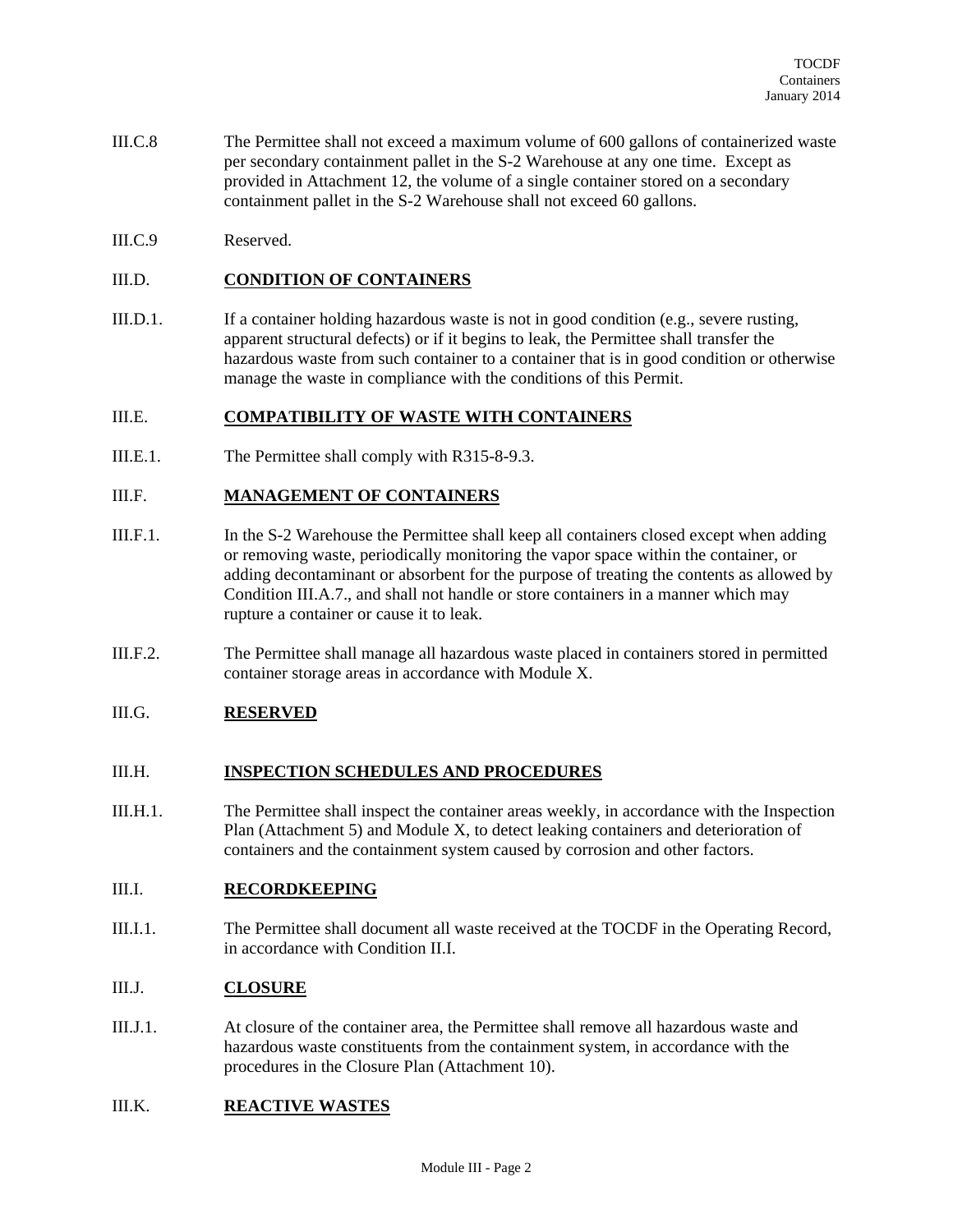- III.C.8 The Permittee shall not exceed a maximum volume of 600 gallons of containerized waste per secondary containment pallet in the S-2 Warehouse at any one time. Except as provided in Attachment 12, the volume of a single container stored on a secondary containment pallet in the S-2 Warehouse shall not exceed 60 gallons.
- III.C.9 Reserved.

## III.D. **CONDITION OF CONTAINERS**

III.D.1. If a container holding hazardous waste is not in good condition (e.g., severe rusting, apparent structural defects) or if it begins to leak, the Permittee shall transfer the hazardous waste from such container to a container that is in good condition or otherwise manage the waste in compliance with the conditions of this Permit.

### III.E. **COMPATIBILITY OF WASTE WITH CONTAINERS**

III.E.1. The Permittee shall comply with R315-8-9.3.

#### III.F. **MANAGEMENT OF CONTAINERS**

- III.F.1. In the S-2 Warehouse the Permittee shall keep all containers closed except when adding or removing waste, periodically monitoring the vapor space within the container, or adding decontaminant or absorbent for the purpose of treating the contents as allowed by Condition III.A.7., and shall not handle or store containers in a manner which may rupture a container or cause it to leak.
- III.F.2. The Permittee shall manage all hazardous waste placed in containers stored in permitted container storage areas in accordance with Module X.

#### III.G. **RESERVED**

#### III.H. **INSPECTION SCHEDULES AND PROCEDURES**

III.H.1. The Permittee shall inspect the container areas weekly, in accordance with the Inspection Plan (Attachment 5) and Module X, to detect leaking containers and deterioration of containers and the containment system caused by corrosion and other factors.

## III.I. **RECORDKEEPING**

III.I.1. The Permittee shall document all waste received at the TOCDF in the Operating Record, in accordance with Condition II.I.

## III.J. **CLOSURE**

III.J.1. At closure of the container area, the Permittee shall remove all hazardous waste and hazardous waste constituents from the containment system, in accordance with the procedures in the Closure Plan (Attachment 10).

### III.K. **REACTIVE WASTES**